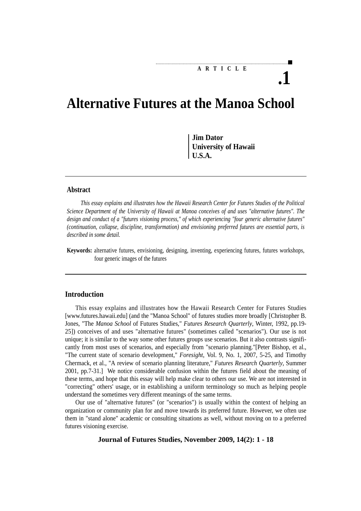**.1**

# **Alternative Futures at the Manoa School**

**Jim Dator University of Hawaii U.S.A.**

# **Abstract**

*This essay explains and illustrates how the Hawaii Research Center for Futures Studies of the Political Science Department of the University of Hawaii at Manoa conceives of and uses "alternative futures". The design and conduct of a "futures visioning process," of which experiencing "four generic alternative futures" (continuation, collapse, discipline, transformation) and envisioning preferred futures are essential parts, is described in some detail.* 

**Keywords:** alternative futures, envisioning, designing, inventing, experiencing futures, futures workshops, four generic images of the futures

# **Introduction**

This essay explains and illustrates how the Hawaii Research Center for Futures Studies [www.futures.hawaii.edu] (and the "Manoa School" of futures studies more broadly [Christopher B. Jones, "The *Manoa School* of Futures Studies," *Futures Research Quarterly*, Winter, 1992, pp.19- 25]) conceives of and uses "alternative futures" (sometimes called "scenarios"). Our use is not unique; it is similar to the way some other futures groups use scenarios. But it also contrasts significantly from most uses of scenarios, and especially from "scenario planning."[Peter Bishop, et al., "The current state of scenario development," *Foresight*, Vol. 9, No. 1, 2007, 5-25, and Timothy Chermack, et al., "A review of scenario planning literature," *Futures Research Quarterly*, Summer 2001, pp.7-31.] We notice considerable confusion within the futures field about the meaning of these terms, and hope that this essay will help make clear to others our use. We are not interested in "correcting" others' usage, or in establishing a uniform terminology so much as helping people understand the sometimes very different meanings of the same terms.

Our use of "alternative futures" (or "scenarios") is usually within the context of helping an organization or community plan for and move towards its preferred future. However, we often use them in "stand alone" academic or consulting situations as well, without moving on to a preferred futures visioning exercise.

**Journal of Futures Studies, November 2009, 14(2): 1 - 18**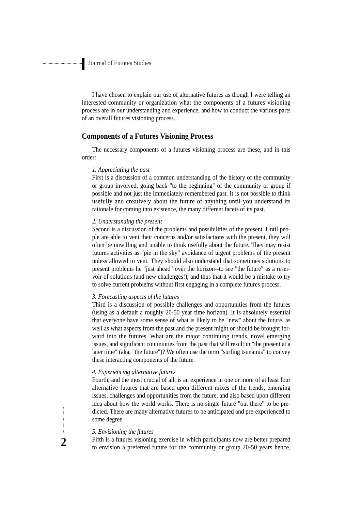I have chosen to explain our use of alternative futures as though I were telling an interested community or organization what the components of a futures visioning process are in our understanding and experience, and how to conduct the various parts of an overall futures visioning process.

# **Components of a Futures Visioning Process**

The necessary components of a futures visioning process are these, and in this order:

# *1. Appreciating the past*

First is a discussion of a common understanding of the history of the community or group involved, going back "to the beginning" of the community or group if possible and not just the immediately-remembered past. It is not possible to think usefully and creatively about the future of anything until you understand its rationale for coming into existence, the many different facets of its past.

## *2. Understanding the present*

Second is a discussion of the problems and possibilities of the present. Until people are able to vent their concerns and/or satisfactions with the present, they will often be unwilling and unable to think usefully about the future. They may resist futures activities as "pie in the sky" avoidance of urgent problems of the present unless allowed to vent. They should also understand that sometimes solutions to present problems lie "just ahead" over the horizon--to see "the future" as a reservoir of solutions (and new challenges!), and thus that it would be a mistake to try to solve current problems without first engaging in a complete futures process.

# *3. Forecasting aspects of the futures*

Third is a discussion of possible challenges and opportunities from the futures (using as a default a roughly 20-50 year time horizon). It is absolutely essential that everyone have some sense of what is likely to be "new" about the future, as well as what aspects from the past and the present might or should be brought forward into the futures. What are the major continuing trends, novel emerging issues, and significant continuities from the past that will result in "the present at a later time" (aka, "the future")? We often use the term "surfing tsunamis" to convey these interacting components of the future.

#### *4. Experiencing alternative futures*

Fourth, and the most crucial of all, is an experience in one or more of at least four alternative futures that are based upon different mixes of the trends, emerging issues, challenges and opportunities from the future, and also based upon different idea about how the world works. There is no single future "out there" to be predicted. There are many alternative futures to be anticipated and pre-experienced to some degree.

# *5. Envisioning the futures*

Fifth is a futures visioning exercise in which participants now are better prepared to envision a preferred future for the community or group 20-50 years hence,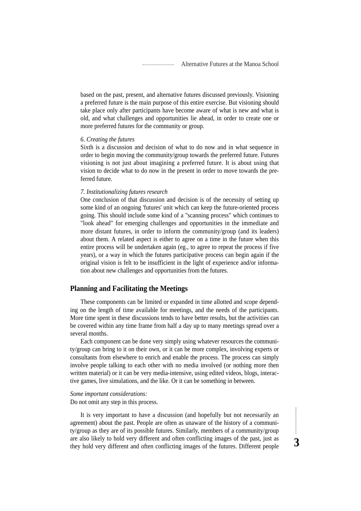based on the past, present, and alternative futures discussed previously. Visioning a preferred future is the main purpose of this entire exercise. But visioning should take place only after participants have become aware of what is new and what is old, and what challenges and opportunities lie ahead, in order to create one or more preferred futures for the community or group.

# *6. Creating the futures*

Sixth is a discussion and decision of what to do now and in what sequence in order to begin moving the community/group towards the preferred future. Futures visioning is not just about imagining a preferred future. It is about using that vision to decide what to do now in the present in order to move towards the preferred future.

#### *7. Institutionalizing futures research*

One conclusion of that discussion and decision is of the necessity of setting up some kind of an ongoing 'futures' unit which can keep the future-oriented process going. This should include some kind of a "scanning process" which continues to "look ahead" for emerging challenges and opportunities in the immediate and more distant futures, in order to inform the community/group (and its leaders) about them. A related aspect is either to agree on a time in the future when this entire process will be undertaken again (eg., to agree to repeat the process if five years), or a way in which the futures participative process can begin again if the original vision is felt to be insufficient in the light of experience and/or information about new challenges and opportunities from the futures.

# **Planning and Facilitating the Meetings**

These components can be limited or expanded in time allotted and scope depending on the length of time available for meetings, and the needs of the participants. More time spent in these discussions tends to have better results, but the activities can be covered within any time frame from half a day up to many meetings spread over a several months.

Each component can be done very simply using whatever resources the community/group can bring to it on their own, or it can be more complex, involving experts or consultants from elsewhere to enrich and enable the process. The process can simply involve people talking to each other with no media involved (or nothing more then written material) or it can be very media-intensive, using edited videos, blogs, interactive games, live simulations, and the like. Or it can be something in between.

## *Some important considerations:* Do not omit any step in this process.

It is very important to have a discussion (and hopefully but not necessarily an agreement) about the past. People are often as unaware of the history of a community/group as they are of its possible futures. Similarly, members of a community/group are also likely to hold very different and often conflicting images of the past, just as they hold very different and often conflicting images of the futures. Different people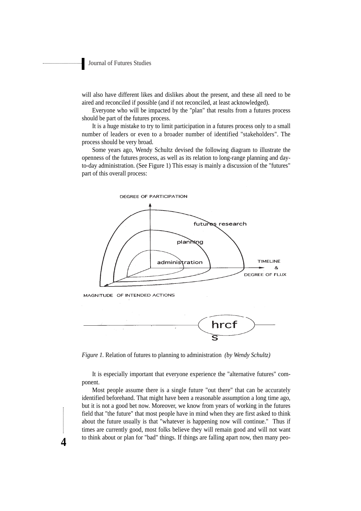will also have different likes and dislikes about the present, and these all need to be aired and reconciled if possible (and if not reconciled, at least acknowledged).

Everyone who will be impacted by the "plan" that results from a futures process should be part of the futures process.

It is a huge mistake to try to limit participation in a futures process only to a small number of leaders or even to a broader number of identified "stakeholders". The process should be very broad.

Some years ago, Wendy Schultz devised the following diagram to illustrate the openness of the futures process, as well as its relation to long-range planning and dayto-day administration. (See Figure 1) This essay is mainly a discussion of the "futures" part of this overall process:



*Figure 1.* Relation of futures to planning to administration *(by Wendy Schultz)*

It is especially important that everyone experience the "alternative futures" component.

Most people assume there is a single future "out there" that can be accurately identified beforehand. That might have been a reasonable assumption a long time ago, but it is not a good bet now. Moreover, we know from years of working in the futures field that "the future" that most people have in mind when they are first asked to think about the future usually is that "whatever is happening now will continue." Thus if times are currently good, most folks believe they will remain good and will not want to think about or plan for "bad" things. If things are falling apart now, then many peo-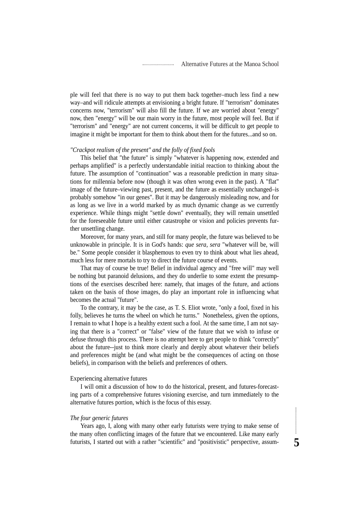ple will feel that there is no way to put them back together–much less find a new way–and will ridicule attempts at envisioning a bright future. If "terrorism" dominates concerns now, "terrorism" will also fill the future. If we are worried about "energy" now, then "energy" will be our main worry in the future, most people will feel. But if "terrorism" and "energy" are not current concerns, it will be difficult to get people to imagine it might be important for them to think about them for the futures...and so on.

## *"Crackpot realism of the present" and the folly of fixed fools*

This belief that "the future" is simply "whatever is happening now, extended and perhaps amplified" is a perfectly understandable initial reaction to thinking about the future. The assumption of "continuation" was a reasonable prediction in many situations for millennia before now (though it was often wrong even in the past). A "flat" image of the future–viewing past, present, and the future as essentially unchanged–is probably somehow "in our genes". But it may be dangerously misleading now, and for as long as we live in a world marked by as much dynamic change as we currently experience. While things might "settle down" eventually, they will remain unsettled for the foreseeable future until either catastrophe or vision and policies prevents further unsettling change.

Moreover, for many years, and still for many people, the future was believed to be unknowable in principle. It is in God's hands: *que sera, sera* "whatever will be, will be." Some people consider it blasphemous to even try to think about what lies ahead, much less for mere mortals to try to direct the future course of events.

That may of course be true! Belief in individual agency and "free will" may well be nothing but paranoid delusions, and they do underlie to some extent the presumptions of the exercises described here: namely, that images of the future, and actions taken on the basis of those images, do play an important role in influencing what becomes the actual "future".

To the contrary, it may be the case, as T. S. Eliot wrote, "only a fool, fixed in his folly, believes he turns the wheel on which he turns." Nonetheless, given the options, I remain to what I hope is a healthy extent such a fool. At the same time, I am not saying that there is a "correct" or "false" view of the future that we wish to infuse or defuse through this process. There is no attempt here to get people to think "correctly" about the future--just to think more clearly and deeply about whatever their beliefs and preferences might be (and what might be the consequences of acting on those beliefs), in comparison with the beliefs and preferences of others.

## Experiencing alternative futures

I will omit a discussion of how to do the historical, present, and futures-forecasting parts of a comprehensive futures visioning exercise, and turn immediately to the alternative futures portion, which is the focus of this essay.

#### *The four generic futures*

Years ago, I, along with many other early futurists were trying to make sense of the many often conflicting images of the future that we encountered. Like many early futurists, I started out with a rather "scientific" and "positivistic" perspective, assum-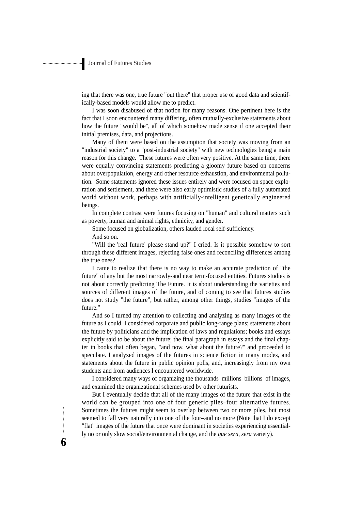ing that there was one, true future "out there" that proper use of good data and scientifically-based models would allow me to predict.

I was soon disabused of that notion for many reasons. One pertinent here is the fact that I soon encountered many differing, often mutually-exclusive statements about how the future "would be", all of which somehow made sense if one accepted their initial premises, data, and projections.

Many of them were based on the assumption that society was moving from an "industrial society" to a "post-industrial society" with new technologies being a main reason for this change. These futures were often very positive. At the same time, there were equally convincing statements predicting a gloomy future based on concerns about overpopulation, energy and other resource exhaustion, and environmental pollution. Some statements ignored these issues entirely and were focused on space exploration and settlement, and there were also early optimistic studies of a fully automated world without work, perhaps with artificially-intelligent genetically engineered beings.

In complete contrast were futures focusing on "human" and cultural matters such as poverty, human and animal rights, ethnicity, and gender.

Some focused on globalization, others lauded local self-sufficiency.

And so on.

**6**

"Will the 'real future' please stand up?" I cried. Is it possible somehow to sort through these different images, rejecting false ones and reconciling differences among the true ones?

I came to realize that there is no way to make an accurate prediction of "the future" of any but the most narrowly-and near term-focused entities. Futures studies is not about correctly predicting The Future. It is about understanding the varieties and sources of different images of the future, and of coming to see that futures studies does not study "the future", but rather, among other things, studies "images of the future."

And so I turned my attention to collecting and analyzing as many images of the future as I could. I considered corporate and public long-range plans; statements about the future by politicians and the implication of laws and regulations; books and essays explicitly said to be about the future; the final paragraph in essays and the final chapter in books that often began, "and now, what about the future?" and proceeded to speculate. I analyzed images of the futures in science fiction in many modes, and statements about the future in public opinion polls, and, increasingly from my own students and from audiences I encountered worldwide.

I considered many ways of organizing the thousands–millions–billions–of images, and examined the organizational schemes used by other futurists.

But I eventually decide that all of the many images of the future that exist in the world can be grouped into one of four generic piles–four alternative futures. Sometimes the futures might seem to overlap between two or more piles, but most seemed to fall very naturally into one of the four–and no more (Note that I do except "flat" images of the future that once were dominant in societies experiencing essentially no or only slow social/environmental change, and the *que sera, sera* variety).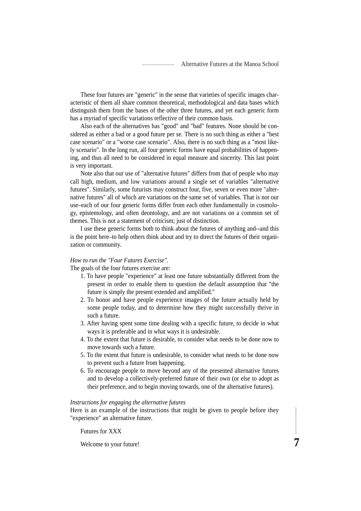These four futures are "generic" in the sense that varieties of specific images characteristic of them all share common theoretical, methodological and data bases which distinguish them from the bases of the other three futures, and yet each generic form has a myriad of specific variations reflective of their common basis.

Also each of the alternatives has "good" and "bad" features. None should be considered as either a bad or a good future per se. There is no such thing as either a "best case scenario" or a "worse case scenario". Also, there is no such thing as a "most likely scenario". In the long run, all four generic forms have equal probabilities of happening, and thus all need to be considered in equal measure and sincerity. This last point is very important.

Note also that our use of "alternative futures" differs from that of people who may call high, medium, and low variations around a single set of variables "alternative futures". Similarly, some futurists may construct four, five, seven or even more "alternative futures" all of which are variations on the same set of variables. That is not our use–each of our four generic forms differ from each other fundamentally in cosmology, epistemology, and often deontology, and are not variations on a common set of themes. This is not a statement of criticism; just of distinction.

I use these generic forms both to think about the futures of anything and--and this is the point here–to help others think about and try to direct the futures of their organization or community.

## *How to run the "Four Futures Exercise".*

The goals of the four futures exercise are:

- 1. To have people "experience" at least one future substantially different from the present in order to enable them to question the default assumption that "the future is simply the present extended and amplified."
- 2. To honor and have people experience images of the future actually held by some people today, and to determine how they might successfully thrive in such a future.
- 3. After having spent some time dealing with a specific future, to decide in what ways it is preferable and in what ways it is undesirable.
- 4. To the extent that future is desirable, to consider what needs to be done now to move towards such a future.
- 5. To the extent that future is undesirable, to consider what needs to be done now to prevent such a future from happening.
- 6. To encourage people to move beyond any of the presented alternative futures and to develop a collectively-preferred future of their own (or else to adopt as their preference, and to begin moving towards, one of the alternative futures).

## *Instructions for engaging the alternative futures*

Here is an example of the instructions that might be given to people before they "experience" an alternative future.

Futures for XXX

Welcome to your future!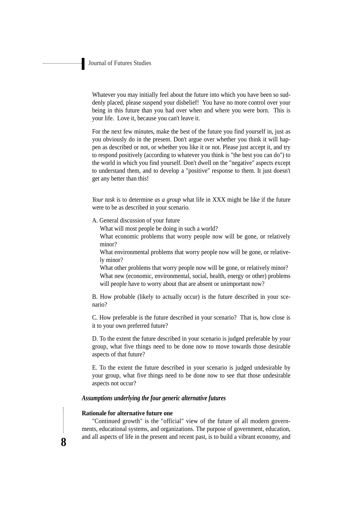Whatever you may initially feel about the future into which you have been so suddenly placed, please suspend your disbelief! You have no more control over your being in this future than you had over when and where you were born. This is your life. Love it, because you can't leave it.

For the next few minutes, make the best of the future you find yourself in, just as you obviously do in the present. Don't argue over whether you think it will happen as described or not, or whether you like it or not. Please just accept it, and try to respond positively (according to whatever you think is "the best you can do") to the world in which you find yourself. Don't dwell on the "negative" aspects except to understand them, and to develop a "positive" response to them. It just doesn't get any better than this!

*Your task* is to determine *as a group* what life in XXX might be like if the future were to be as described in your scenario.

A. General discussion of your future

What will most people be doing in such a world?

What economic problems that worry people now will be gone, or relatively minor?

What environmental problems that worry people now will be gone, or relatively minor?

What other problems that worry people now will be gone, or relatively minor? What new (economic, environmental, social, health, energy or other) problems will people have to worry about that are absent or unimportant now?

B. How probable (likely to actually occur) is the future described in your scenario?

C. How preferable is the future described in your scenario? That is, how close is it to your own preferred future?

D. To the extent the future described in your scenario is judged preferable by your group, what five things need to be done now to move towards those desirable aspects of that future?

E. To the extent the future described in your scenario is judged undesirable by your group, what five things need to be done now to see that those undesirable aspects not occur?

# *Assumptions underlying the four generic alternative futures*

## **Rationale for alternative future one**

**8**

"Continued growth" is the "official" view of the future of all modern governments, educational systems, and organizations. The purpose of government, education, and all aspects of life in the present and recent past, is to build a vibrant economy, and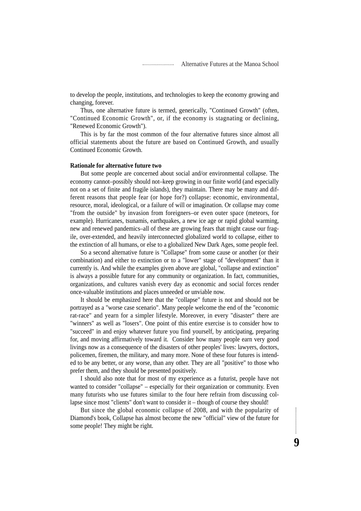to develop the people, institutions, and technologies to keep the economy growing and changing, forever.

Thus, one alternative future is termed, generically, "Continued Growth" (often, "Continued Economic Growth", or, if the economy is stagnating or declining, "Renewed Economic Growth").

This is by far the most common of the four alternative futures since almost all official statements about the future are based on Continued Growth, and usually Continued Economic Growth.

#### **Rationale for alternative future two**

But some people are concerned about social and/or environmental collapse. The economy cannot–possibly should not–keep growing in our finite world (and especially not on a set of finite and fragile islands), they maintain. There may be many and different reasons that people fear (or hope for?) collapse: economic, environmental, resource, moral, ideological, or a failure of will or imagination. Or collapse may come "from the outside" by invasion from foreigners–or even outer space (meteors, for example). Hurricanes, tsunamis, earthquakes, a new ice age or rapid global warming, new and renewed pandemics–all of these are growing fears that might cause our fragile, over-extended, and heavily interconnected globalized world to collapse, either to the extinction of all humans, or else to a globalized New Dark Ages, some people feel.

So a second alternative future is "Collapse" from some cause or another (or their combination) and either to extinction or to a "lower" stage of "development" than it currently is. And while the examples given above are global, "collapse and extinction" is always a possible future for any community or organization. In fact, communities, organizations, and cultures vanish every day as economic and social forces render once-valuable institutions and places unneeded or unviable now.

It should be emphasized here that the "collapse" future is not and should not be portrayed as a "worse case scenario". Many people welcome the end of the "economic rat-race" and yearn for a simpler lifestyle. Moreover, in every "disaster" there are "winners" as well as "losers". One point of this entire exercise is to consider how to "succeed" in and enjoy whatever future you find yourself, by anticipating, preparing for, and moving affirmatively toward it. Consider how many people earn very good livings now as a consequence of the disasters of other peoples' lives: lawyers, doctors, policemen, firemen, the military, and many more. None of these four futures is intended to be any better, or any worse, than any other. They are all "positive" to those who prefer them, and they should be presented positively.

I should also note that for most of my experience as a futurist, people have not wanted to consider "collapse" – especially for their organization or community. Even many futurists who use futures similar to the four here refrain from discussing collapse since most "clients" don't want to consider it – though of course they should!

But since the global economic collapse of 2008, and with the popularity of Diamond's book, Collapse has almost become the new "official" view of the future for some people! They might be right.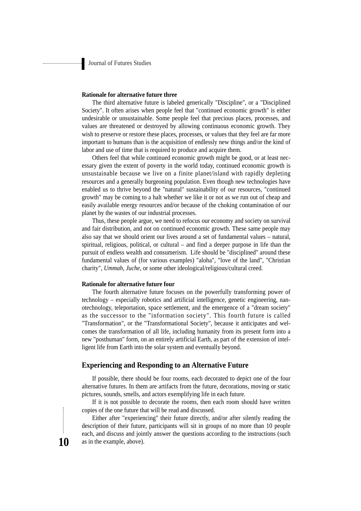#### **Rationale for alternative future three**

The third alternative future is labeled generically "Discipline", or a "Disciplined Society". It often arises when people feel that "continued economic growth" is either undesirable or unsustainable. Some people feel that precious places, processes, and values are threatened or destroyed by allowing continuous economic growth. They wish to preserve or restore these places, processes, or values that they feel are far more important to humans than is the acquisition of endlessly new things and/or the kind of labor and use of time that is required to produce and acquire them.

Others feel that while continued economic growth might be good, or at least necessary given the extent of poverty in the world today, continued economic growth is unsustainable because we live on a finite planet/island with rapidly depleting resources and a generally burgeoning population. Even though new technologies have enabled us to thrive beyond the "natural" sustainability of our resources, "continued growth" may be coming to a halt whether we like it or not as we run out of cheap and easily available energy resources and/or because of the choking contamination of our planet by the wastes of our industrial processes.

Thus, these people argue, we need to refocus our economy and society on survival and fair distribution, and not on continued economic growth. These same people may also say that we should orient our lives around a set of fundamental values – natural, spiritual, religious, political, or cultural – and find a deeper purpose in life than the pursuit of endless wealth and consumerism. Life should be "disciplined" around these fundamental values of (for various examples) "aloha", "love of the land", "Christian charity", *Ummah, Juche*, or some other ideological/religious/cultural creed.

## **Rationale for alternative future four**

The fourth alternative future focuses on the powerfully transforming power of technology – especially robotics and artificial intelligence, genetic engineering, nanotechnology, teleportation, space settlement, and the emergence of a "dream society" as the successor to the "information society". This fourth future is called "Transformation", or the "Transformational Society", because it anticipates and welcomes the transformation of all life, including humanity from its present form into a new "posthuman" form, on an entirely artificial Earth, as part of the extension of intelligent life from Earth into the solar system and eventually beyond.

# **Experiencing and Responding to an Alternative Future**

If possible, there should be four rooms, each decorated to depict one of the four alternative futures. In them are artifacts from the future, decorations, moving or static pictures, sounds, smells, and actors exemplifying life in each future.

If it is not possible to decorate the rooms, then each room should have written copies of the one future that will be read and discussed.

Either after "experiencing" their future directly, and/or after silently reading the description of their future, participants will sit in groups of no more than 10 people each, and discuss and jointly answer the questions according to the instructions (such as in the example, above).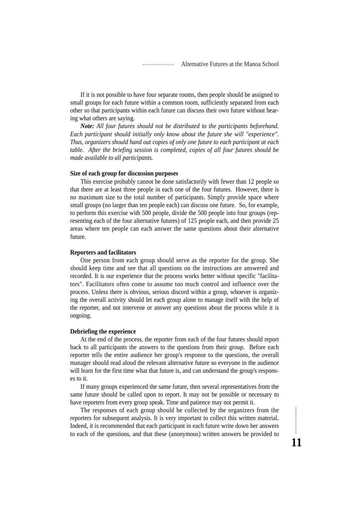If it is not possible to have four separate rooms, then people should be assigned to small groups for each future within a common room, sufficiently separated from each other so that participants within each future can discuss their own future without hearing what others are saying.

*Note: All four futures should not be distributed to the participants beforehand. Each participant should initially only know about the future she will "experience". Thus, organizers should hand out copies of only one future to each participant at each table. After the briefing session is completed, copies of all four futures should be made available to all participants.*

#### **Size of each group for discussion purposes**

This exercise probably cannot be done satisfactorily with fewer than 12 people so that there are at least three people in each one of the four futures. However, there is no maximum size to the total number of participants. Simply provide space where small groups (no larger than ten people each) can discuss one future. So, for example, to perform this exercise with 500 people, divide the 500 people into four groups (representing each of the four alternative futures) of 125 people each, and then provide 25 areas where ten people can each answer the same questions about their alternative future.

## **Reporters and facilitators**

One person from each group should serve as the reporter for the group. She should keep time and see that all questions on the instructions are answered and recorded. It is our experience that the process works better without specific "facilitators". Facilitators often come to assume too much control and influence over the process. Unless there is obvious, serious discord within a group, whoever is organizing the overall activity should let each group alone to manage itself with the help of the reporter, and not intervene or answer any questions about the process while it is ongoing.

#### **Debriefing the experience**

At the end of the process, the reporter from each of the four futures should report back to all participants the answers to the questions from their group. Before each reporter tells the entire audience her group's response to the questions, the overall manager should read aloud the relevant alternative future so everyone in the audience will learn for the first time what that future is, and can understand the group's responses to it.

If many groups experienced the same future, then several representatives from the same future should be called upon to report. It may not be possible or necessary to have reporters from every group speak. Time and patience may not permit it.

The responses of each group should be collected by the organizers from the reporters for subsequent analysis. It is very important to collect this written material. Indeed, it is recommended that each participant in each future write down her answers to each of the questions, and that these (anonymous) written answers be provided to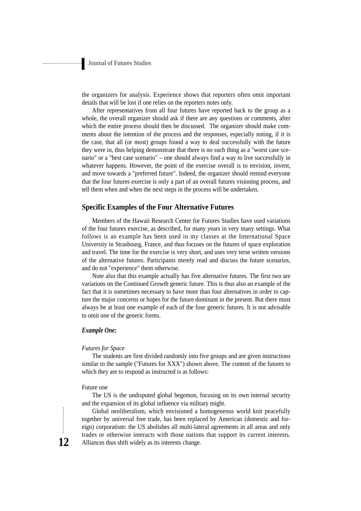the organizers for analysis. Experience shows that reporters often omit important details that will be lost if one relies on the reporters notes only.

After representatives from all four futures have reported back to the group as a whole, the overall organizer should ask if there are any questions or comments, after which the entire process should then be discussed. The organizer should make comments about the intention of the process and the responses, especially noting, if it is the case, that all (or most) groups found a way to deal successfully with the future they were in, thus helping demonstrate that there is no such thing as a "worst case scenario" or a "best case scenario" – one should always find a way to live successfully in whatever happens. However, the point of the exercise overall is to envision, invent, and move towards a "preferred future". Indeed, the organizer should remind everyone that the four futures exercise is only a part of an overall futures visioning process, and tell them when and when the next steps in the process will be undertaken.

# **Specific Examples of the Four Alternative Futures**

Members of the Hawaii Research Center for Futures Studies have used variations of the four futures exercise, as described, for many years in very many settings. What follows is an example has been used in my classes at the International Space University in Strasbourg, France, and thus focuses on the futures of space exploration and travel. The time for the exercise is very short, and uses very terse written versions of the alternative futures. Participants merely read and discuss the future scenarios, and do not "experience" them otherwise.

Note also that this example actually has five alternative futures. The first two are variations on the Continued Growth generic future. This is thus also an example of the fact that it is sometimes necessary to have more than four alternatives in order to capture the major concerns or hopes for the future dominant in the present. But there must always be at least one example of each of the four generic futures. It is not advisable to omit one of the generic forms.

# *Example One:*

## *Futures for Space*

The students are first divided randomly into five groups and are given instructions similar to the sample ("Futures for XXX") shown above. The content of the futures to which they are to respond as instructed is as follows:

## Future one

The US is the undisputed global hegemon, focusing on its own internal security and the expansion of its global influence via military might.

Global neoliberalism, which envisioned a homogeneous world knit peacefully together by universal free trade, has been replaced by American (domestic and foreign) corporatism: the US abolishes all multi-lateral agreements in all areas and only trades or otherwise interacts with those nations that support its current interests. Alliances thus shift widely as its interests change.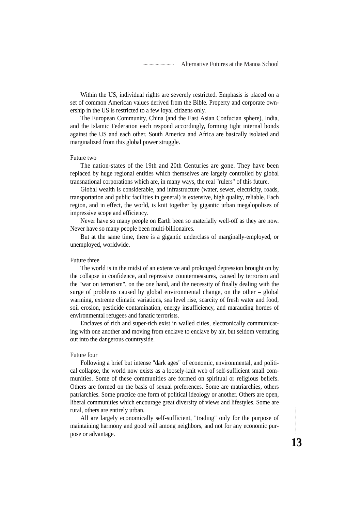Within the US, individual rights are severely restricted. Emphasis is placed on a set of common American values derived from the Bible. Property and corporate ownership in the US is restricted to a few loyal citizens only.

The European Community, China (and the East Asian Confucian sphere), India, and the Islamic Federation each respond accordingly, forming tight internal bonds against the US and each other. South America and Africa are basically isolated and marginalized from this global power struggle.

## Future two

The nation-states of the 19th and 20th Centuries are gone. They have been replaced by huge regional entities which themselves are largely controlled by global transnational corporations which are, in many ways, the real "rulers" of this future.

Global wealth is considerable, and infrastructure (water, sewer, electricity, roads, transportation and public facilities in general) is extensive, high quality, reliable. Each region, and in effect, the world, is knit together by gigantic urban megalopolises of impressive scope and efficiency.

Never have so many people on Earth been so materially well-off as they are now. Never have so many people been multi-billionaires.

But at the same time, there is a gigantic underclass of marginally-employed, or unemployed, worldwide.

#### Future three

The world is in the midst of an extensive and prolonged depression brought on by the collapse in confidence, and repressive countermeasures, caused by terrorism and the "war on terrorism", on the one hand, and the necessity of finally dealing with the surge of problems caused by global environmental change, on the other – global warming, extreme climatic variations, sea level rise, scarcity of fresh water and food, soil erosion, pesticide contamination, energy insufficiency, and marauding hordes of environmental refugees and fanatic terrorists.

Enclaves of rich and super-rich exist in walled cities, electronically communicating with one another and moving from enclave to enclave by air, but seldom venturing out into the dangerous countryside.

# Future four

Following a brief but intense "dark ages" of economic, environmental, and political collapse, the world now exists as a loosely-knit web of self-sufficient small communities. Some of these communities are formed on spiritual or religious beliefs. Others are formed on the basis of sexual preferences. Some are matriarchies, others patriarchies. Some practice one form of political ideology or another. Others are open, liberal communities which encourage great diversity of views and lifestyles. Some are rural, others are entirely urban.

All are largely economically self-sufficient, "trading" only for the purpose of maintaining harmony and good will among neighbors, and not for any economic purpose or advantage.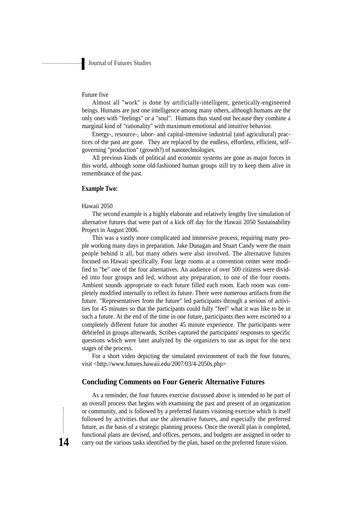#### Future five

Almost all "work" is done by artificially-intelligent, genetically-engineered beings. Humans are just one intelligence among many others, although humans are the only ones with "feelings" or a "soul". Humans thus stand out because they combine a marginal kind of "rationality" with maximum emotional and intuitive behavior.

Energy-, resource-, labor- and capital-intensive industrial (and agricultural) practices of the past are gone. They are replaced by the endless, effortless, efficient, selfgoverning "production" (growth?) of nanotechnologies.

All previous kinds of political and economic systems are gone as major forces in this world, although some old-fashioned human groups still try to keep them alive in remembrance of the past.

# **Example Two:**

#### Hawaii 2050

The second example is a highly elaborate and relatively lengthy live simulation of alternative futures that were part of a kick off day for the Hawaii 2050 Sustainability Project in August 2006.

This was a vastly more complicated and immersive process, requiring many people working many days in preparation. Jake Dunagan and Stuart Candy were the main people behind it all, but many others were also involved. The alternative futures focused on Hawaii specifically. Four large rooms at a convention center were modified to "be" one of the four alternatives. An audience of over 500 citizens were divided into four groups and led, without any preparation, to one of the four rooms. Ambient sounds appropriate to each future filled each room. Each room was completely modified internally to reflect its future. There were numerous artifacts from the future. "Representatives from the future" led participants through a serious of activities for 45 minutes so that the participants could fully "feel" what it was like to be in such a future. At the end of the time in one future, participants then were escorted to a completely different future for another 45 minute experience. The participants were debriefed in groups afterwards. Scribes captured the participants' responses to specific questions which were later analyzed by the organizers to use as input for the next stages of the process.

For a short video depicting the simulated environment of each the four futures, visit <http://www.futures.hawaii.edu/2007/03/4-2050s.php>

# **Concluding Comments on Four Generic Alternative Futures**

As a reminder, the four futures exercise discussed above is intended to be part of an overall process that begins with examining the past and present of an organization or community, and is followed by a preferred futures visioning exercise which is itself followed by activities that use the alternative futures, and especially the preferred future, as the basis of a strategic planning process. Once the overall plan is completed, functional plans are devised, and offices, persons, and budgets are assigned in order to carry out the various tasks identified by the plan, based on the preferred future vision.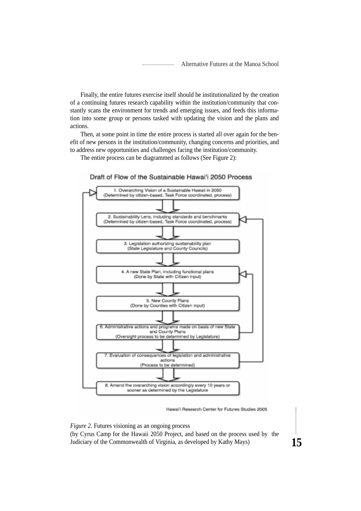Finally, the entire futures exercise itself should be institutionalized by the creation of a continuing futures research capability within the institution/community that constantly scans the environment for trends and emerging issues, and feeds this information into some group or persons tasked with updating the vision and the plans and actions.

Then, at some point in time the entire process is started all over again for the benefit of new persons in the institution/community, changing concerns and priorities, and to address new opportunities and challenges facing the institution/community.

The entire process can be diagrammed as follows (See Figure 2):



Draft of Flow of the Sustainable Hawai'i 2050 Process

Hawai'i Research Center for Futures Studies 2005

*Figure 2.* Futures visioning as an ongoing process (by Cyrus Camp for the Hawaii 2050 Project, and based on the process used by the Judiciary of the Commonwealth of Virginia, as developed by Kathy Mays)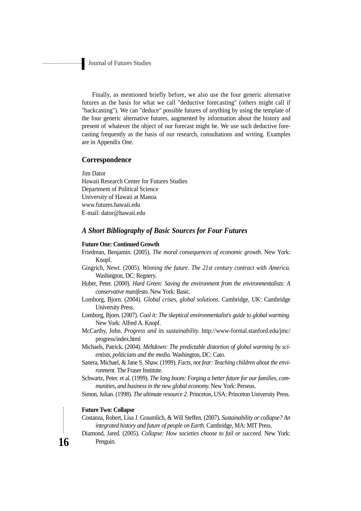Finally, as mentioned briefly before, we also use the four generic alternative futures as the basis for what we call "deductive forecasting" (others might call if "backcasting"). We can "deduce" possible futures of anything by using the template of the four generic alternative futures, augmented by information about the history and present of whatever the object of our forecast might be. We use such deductive forecasting frequently as the basis of our research, consultations and writing. Examples are in Appendix One.

# **Correspondence**

Jim Dator

Hawaii Research Center for Futures Studies Department of Political Science University of Hawaii at Manoa www.futures.hawaii.edu E-mail: dator@hawaii.edu

# *A Short Bibliography of Basic Sources for Four Futures*

# **Future One: Continued Growth**

- Friedman, Benjamin. (2005). *The moral consequences of economic growth.* New York: Knopf.
- Gingrich, Newt. (2005). *Winning the future. The 21st century contract with America.* Washington, DC: Regnery.
- Huber, Peter. (2000). *Hard Green: Saving the environment from the environmentalists: A conservative manifesto.* New York: Basic.
- Lomborg, Bjorn. (2004). *Global crises, global solutions.* Cambridge, UK: Cambridge University Press.
- Lomborg, Bjorn. (2007). *Cool it: The skeptical environmentalist's guide to global warming.* New York: Alfred A. Knopf.
- McCarthy, John. *Progress and its sustainability.* http://www-formal.stanford.edu/jmc/ progress/index.html
- Michaels, Patrick. (2004). *Meltdown: The predictable distortion of global warming by scientists, politicians and the media.* Washington, DC: Cato.
- Sanera, Michael, & Jane S. Shaw. (1999). *Facts, not fear: Teaching children about the environment.* The Fraser Institute.
- Schwartz, Peter. et al. (1999). *The long boom: Forging a better future for our families, communities, and business in the new global economy.* New York: Perseus.

Simon, Julian. (1998). *The ultimate resource 2.* Princeton, USA: Princeton University Press.

# **Future Two: Collapse**

Costanza, Robert, Lisa J. Graumlich, & Will Steffen. (2007). *Sustainability or collapse? An integrated history and future of people on Earth.* Cambridge, MA: MIT Press.

Diamond, Jared. (2005). *Collapse: How societies choose to fail or succeed.* New York: Penguin.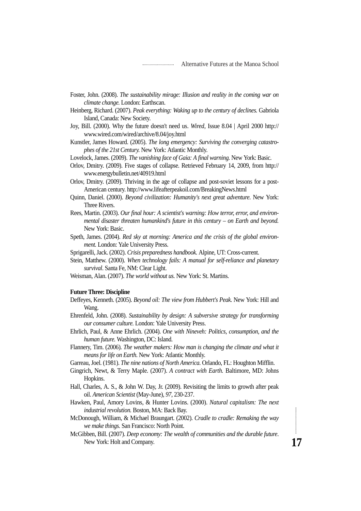- Foster, John. (2008). *The sustainability mirage: Illusion and reality in the coming war on climate change.* London: Earthscan.
- Heinberg, Richard. (2007). *Peak everything: Waking up to the century of declines.* Gabriola Island, Canada: New Society.
- Joy, Bill. (2000). Why the future doesn't need us. *Wired*, Issue 8.04 | April 2000 http:// www.wired.com/wired/archive/8.04/joy.html
- Kunstler, James Howard. (2005). *The long emergency: Surviving the converging catastrophes of the 21st Century.* New York: Atlantic Monthly.
- Lovelock, James. (2009). *The vanishing face of Gaia: A final warning.* New York: Basic.
- Orlov, Dmitry. (2009). Five stages of collapse. Retrieved February 14, 2009, from http:// www.energybulletin.net/40919.html
- Orlov, Dmitry. (2009). Thriving in the age of collapse and post-soviet lessons for a post-American century. http://www.lifeafterpeakoil.com/BreakingNews.html
- Quinn, Daniel. (2000). *Beyond civilization: Humanity's next great adventure.* New York: Three Rivers.
- Rees, Martin. (2003). *Our final hour: A scientist's warning: How terror, error, and environmental disaster threaten humankind's future in this century – on Earth and beyond.* New York: Basic.
- Speth, James. (2004). *Red sky at morning: America and the crisis of the global environment.* London: Yale University Press.
- Sprigarelli, Jack. (2002). *Crisis preparedness handbook.* Alpine, UT: Cross-current.
- Stein, Matthew. (2000). *When technology fails: A manual for self-reliance and planetary survival*. Santa Fe, NM: Clear Light.
- Weisman, Alan. (2007). *The world without us.* New York: St. Martins.

## **Future Three: Discipline**

- Deffeyes, Kenneth. (2005). *Beyond oil: The view from Hubbert's Peak.* New York: Hill and Wang.
- Ehrenfeld, John. (2008). *Sustainability by design: A subversive strategy for transforming our consumer culture.* London: Yale University Press.
- Ehrlich, Paul, & Anne Ehrlich. (2004). *One with Nineveh: Politics, consumption, and the human future.* Washington, DC: Island.
- Flannery, Tim. (2006). *The weather makers: How man is changing the climate and what it means for life on Earth.* New York: Atlantic Monthly.
- Garreau, Joel. (1981). *The nine nations of North America.* Orlando, FL: Houghton Mifflin.
- Gingrich, Newt, & Terry Maple. (2007). *A contract with Earth.* Baltimore, MD: Johns Hopkins.
- Hall, Charles, A. S., & John W. Day, Jr. (2009). Revisiting the limits to growth after peak oil. *American Scientist* (May-June), *97*, 230-237.
- Hawken, Paul, Amory Lovins, & Hunter Lovins. (2000). *Natural capitalism: The next industrial revolution.* Boston, MA: Back Bay.
- McDonough, William, & Michael Braungart. (2002). *Cradle to cradle: Remaking the way we make things.* San Francisco: North Point.

McGibben, Bill. (2007). *Deep economy: The wealth of communities and the durable future*. New York: Holt and Company.